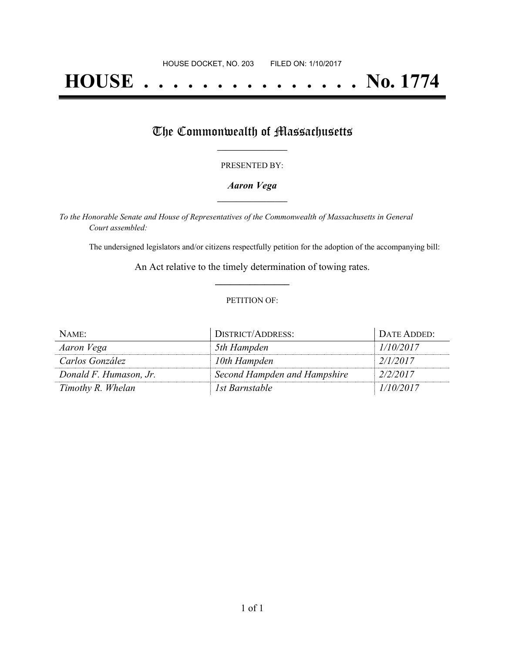# **HOUSE . . . . . . . . . . . . . . . No. 1774**

## The Commonwealth of Massachusetts

#### PRESENTED BY:

#### *Aaron Vega* **\_\_\_\_\_\_\_\_\_\_\_\_\_\_\_\_\_**

*To the Honorable Senate and House of Representatives of the Commonwealth of Massachusetts in General Court assembled:*

The undersigned legislators and/or citizens respectfully petition for the adoption of the accompanying bill:

An Act relative to the timely determination of towing rates. **\_\_\_\_\_\_\_\_\_\_\_\_\_\_\_**

#### PETITION OF:

| NAME:                  | DISTRICT/ADDRESS:            | DATE ADDED: |
|------------------------|------------------------------|-------------|
| Aaron Vega             | 5th Hampden                  | 1/10/2017   |
| Carlos González        | 10th Hampden                 | 2/1/2017    |
| Donald F. Humason, Jr. | Second Hampden and Hampshire | 2/2/2017    |
| Timothy R. Whelan      | 1st Barnstable               | 1/10/2017   |